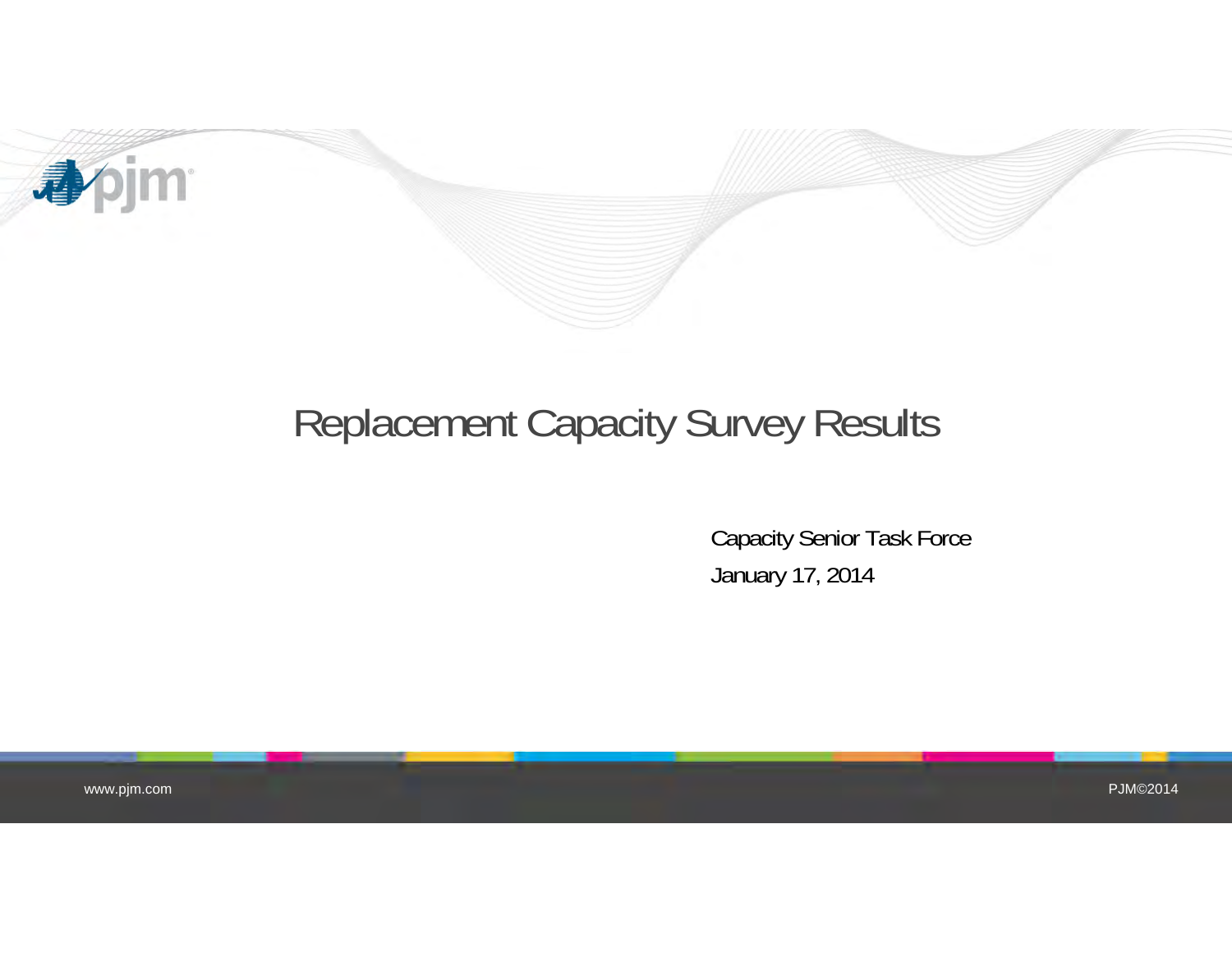

## Replacement Capacity Survey Results

Capacity Senior Task Force January 17, 2014

www.pjm.com

PJM©2014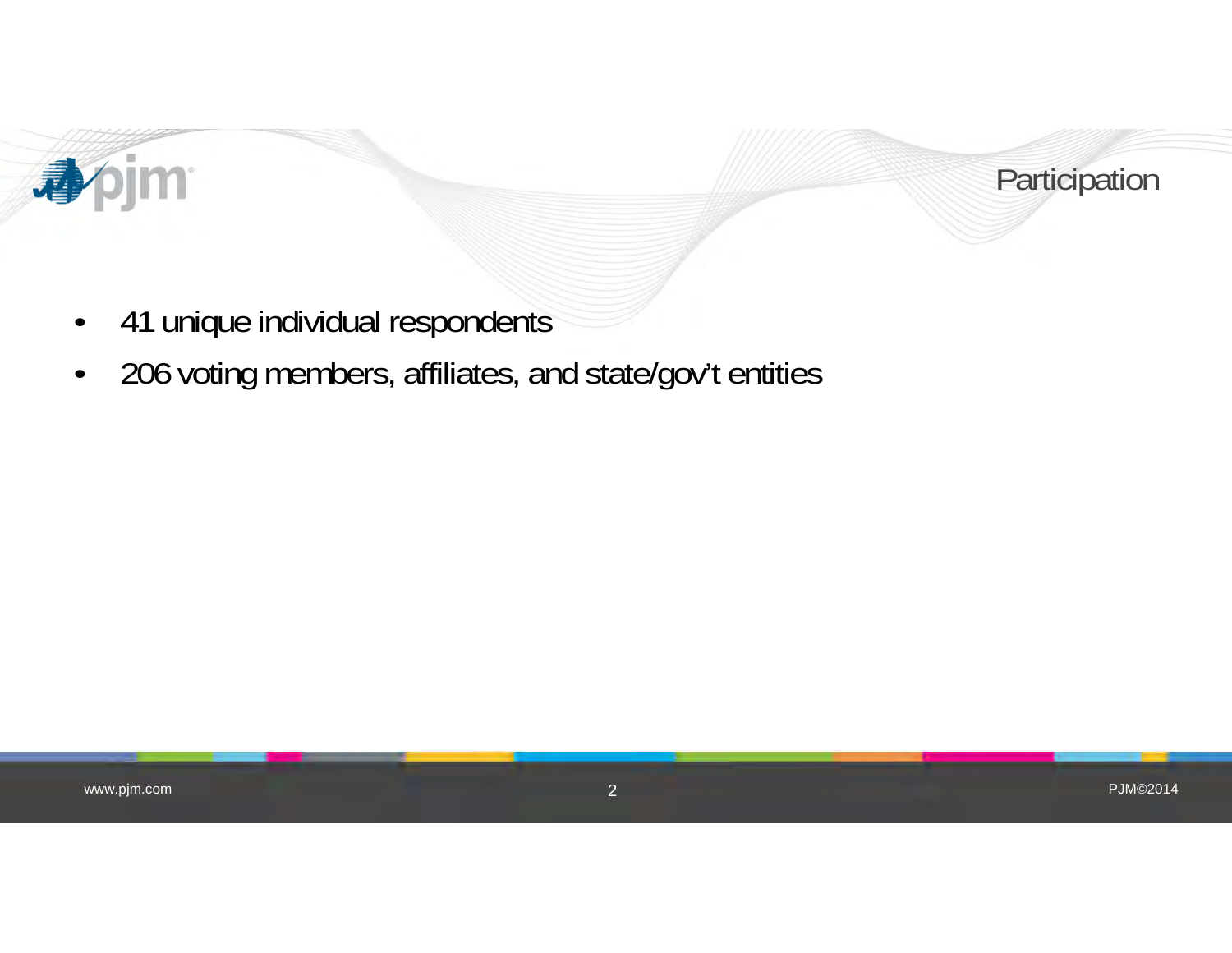



- •41 unique individual respondents
- •206 voting members, affiliates, and state/gov't entities

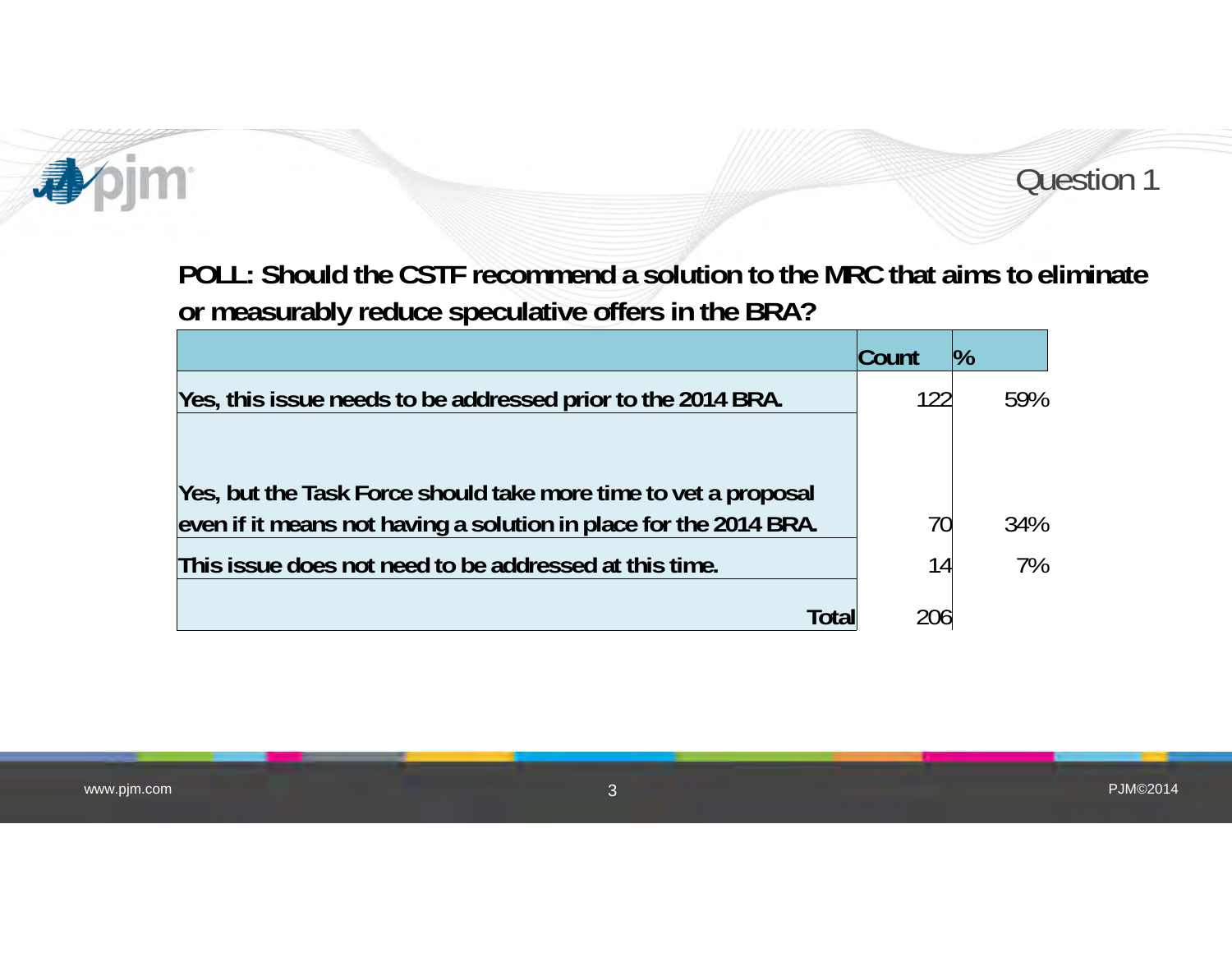

Question 1

**POLL: Should the CSTF recommend a solution to the MRC that aims to eliminate or measurably reduce speculative offers in the BRA?**

|                                                                   | Count | $\frac{10}{6}$ |
|-------------------------------------------------------------------|-------|----------------|
| Yes, this issue needs to be addressed prior to the 2014 BRA.      | 122   | 59%            |
|                                                                   |       |                |
| Yes, but the Task Force should take more time to vet a proposal   |       |                |
| even if it means not having a solution in place for the 2014 BRA. | 70    | 34%            |
| This issue does not need to be addressed at this time.            | 14    | 7%             |
| Tota                                                              | 206   |                |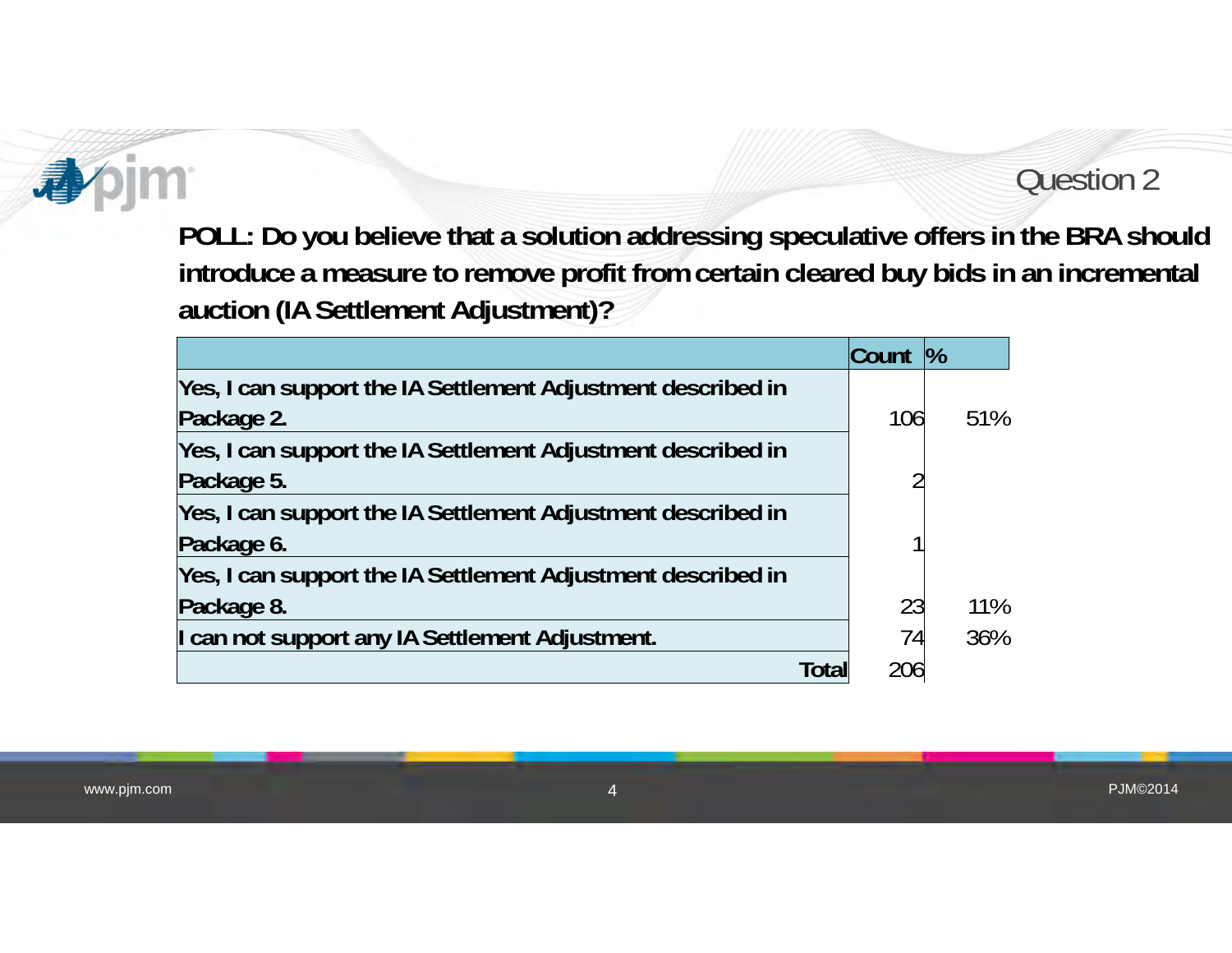#### Question 2

**POLL: Do you believe that a solution addressing speculative offers in the BRA should introduce a measure to remove profit from certain cleared buy bids in an incremental auction (IA Settlement Adjustment)?**

|                                                              | Count | $\frac{9}{6}$ |
|--------------------------------------------------------------|-------|---------------|
| Yes, I can support the IA Settlement Adjustment described in |       |               |
| Package 2.                                                   | 106   | 51%           |
| Yes, I can support the IA Settlement Adjustment described in |       |               |
| Package 5.                                                   | ጣ     |               |
| Yes, I can support the IA Settlement Adjustment described in |       |               |
| Package 6.                                                   |       |               |
| Yes, I can support the IA Settlement Adjustment described in |       |               |
| Package 8.                                                   | 23    | 11%           |
| I can not support any IA Settlement Adjustment.              | 74    | 36%           |
| Total                                                        | 206   |               |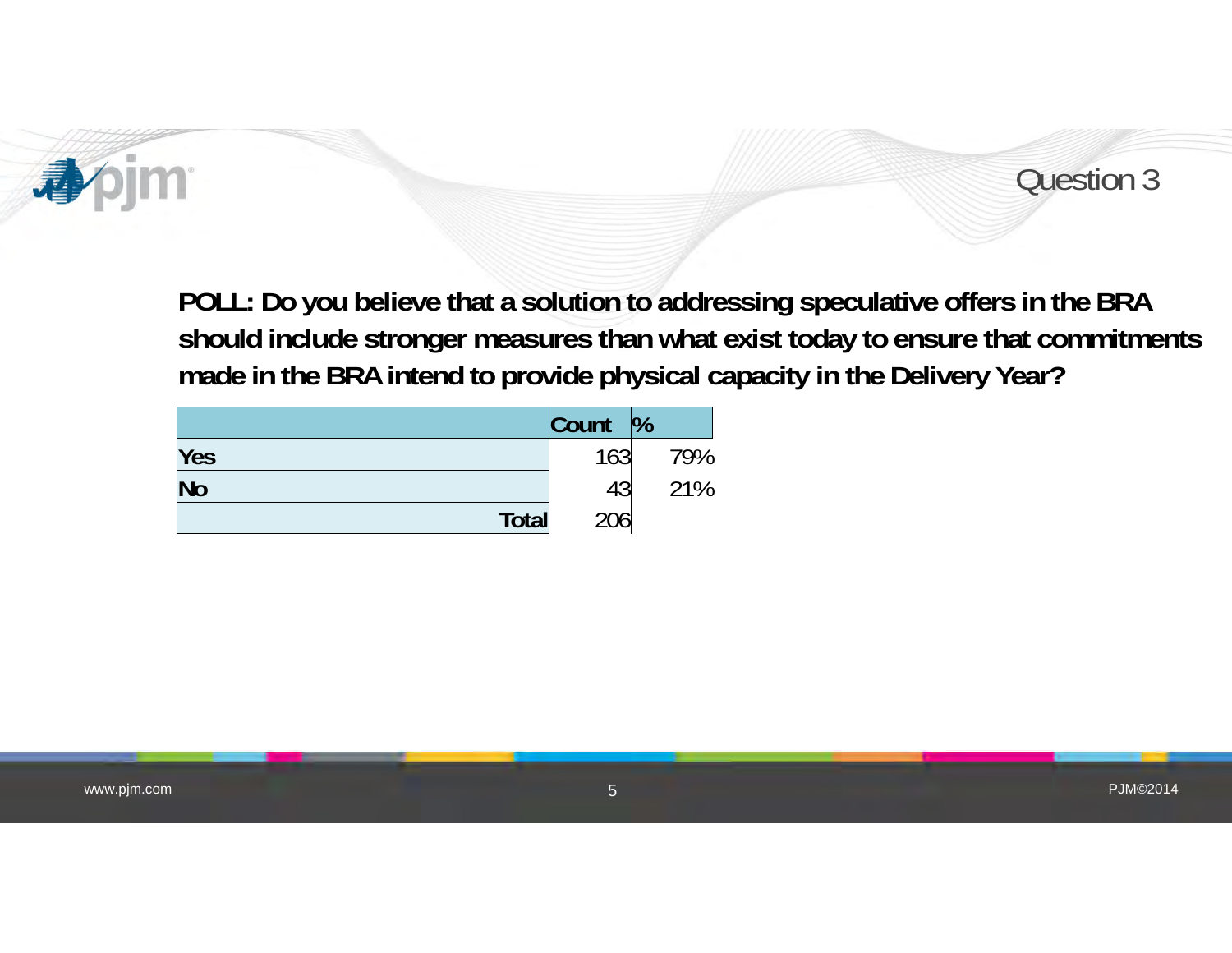



**POLL: Do you believe that a solution to addressing speculative offers in the BRA should include stronger measures than what exist today to ensure that commitments made in the BRA intend to provide physical capacity in the Delivery Year?**

|           | Count | $\frac{1}{2}$ |
|-----------|-------|---------------|
| Yes       | 163   | 79%           |
| <b>No</b> | 43    | 21%           |
| Total     | 206   |               |

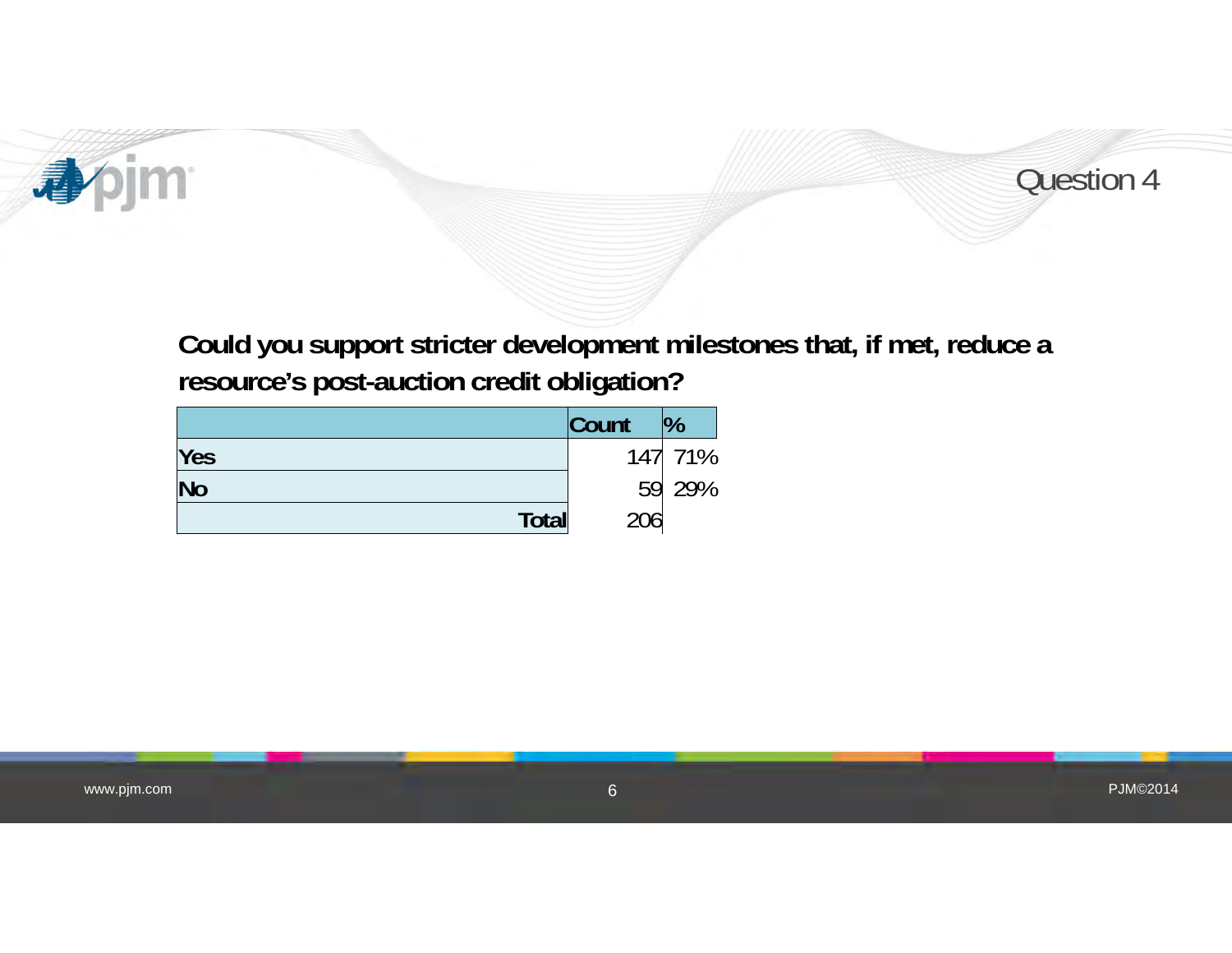



**Could you support stricter development milestones that, if met, reduce a resource's post-auction credit obligation?**

|              | Count | $\frac{10}{6}$ |
|--------------|-------|----------------|
| Yes          |       | 147 71%        |
| <b>No</b>    |       | 59 29%         |
| <b>Total</b> | 206   |                |

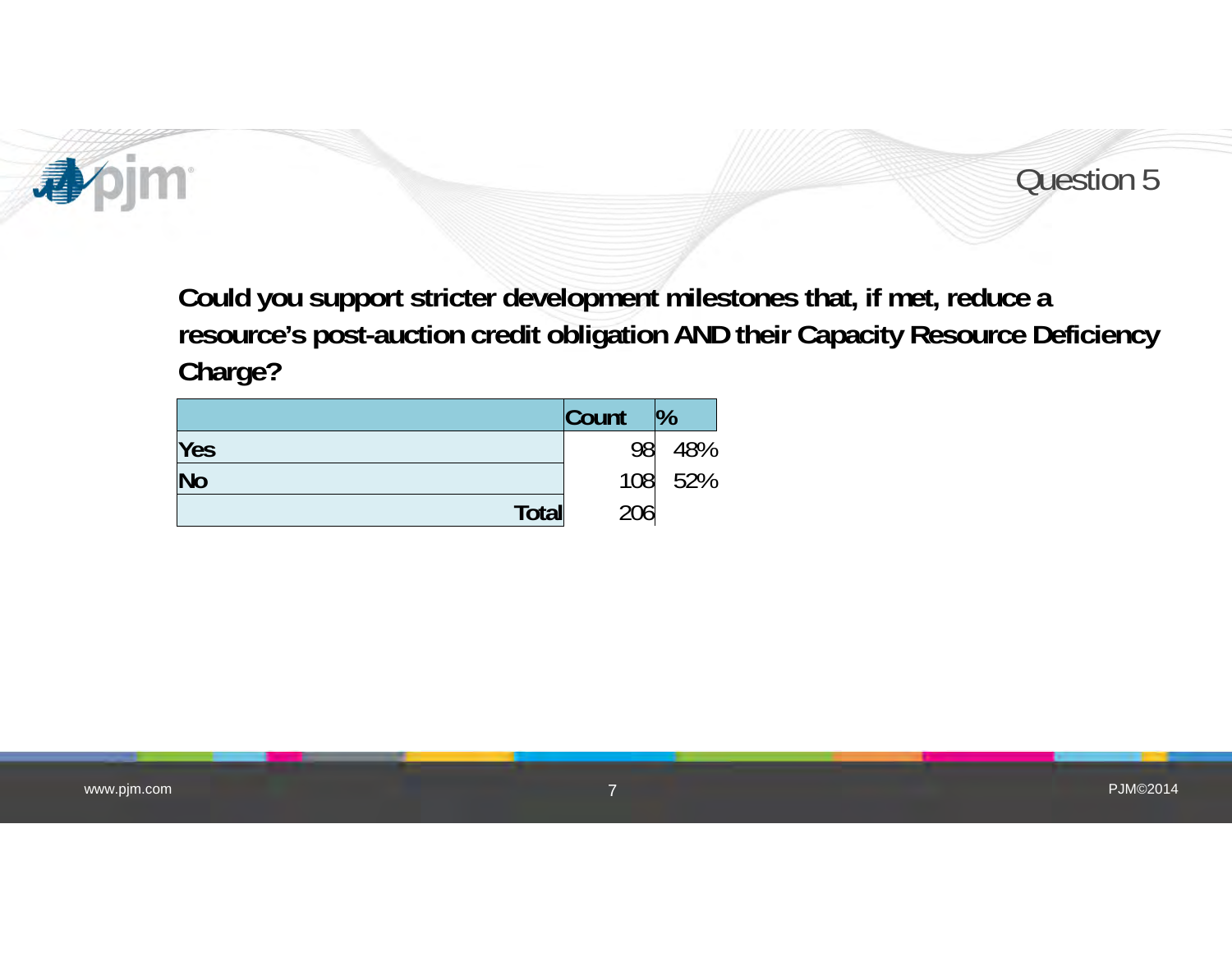



**Could you support stricter development milestones that, if met, reduce a resource's post-auction credit obligation AND their Capacity Resource Deficiency Charge?**

|           | Count | $\%$ |
|-----------|-------|------|
| Yes       | 98    | 48%  |
| <b>No</b> | 108   | 52%  |
| Total     | 206   |      |

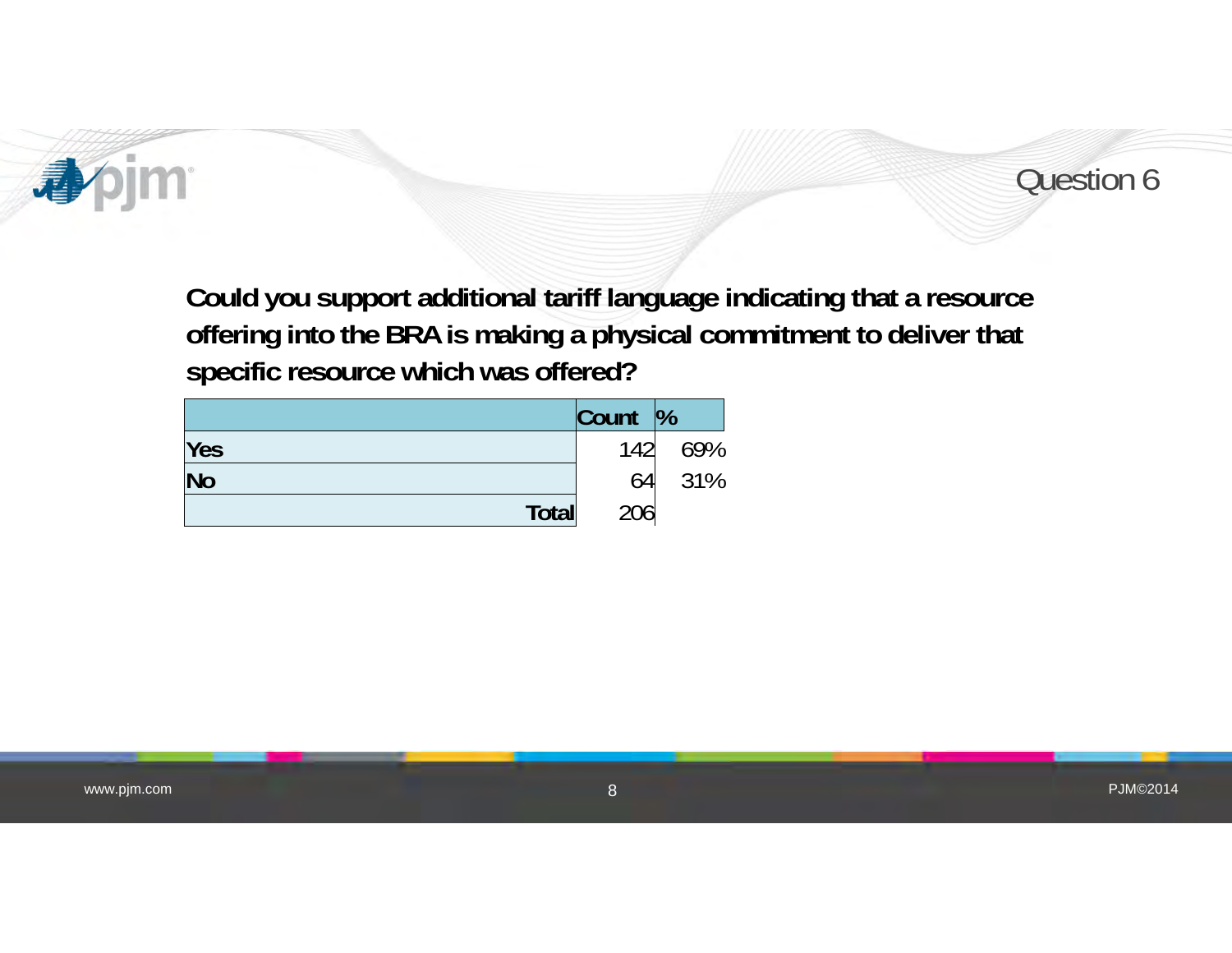



**Could you support additional tariff language indicating that a resource offering into the BRA is making a physical commitment to deliver that specific resource which was offered?**

|            | $\vert$ Count $\vert\%$ |     |
|------------|-------------------------|-----|
| <b>Yes</b> | 142                     | 69% |
| <b>No</b>  | 64                      | 31% |
| Total      | 206                     |     |

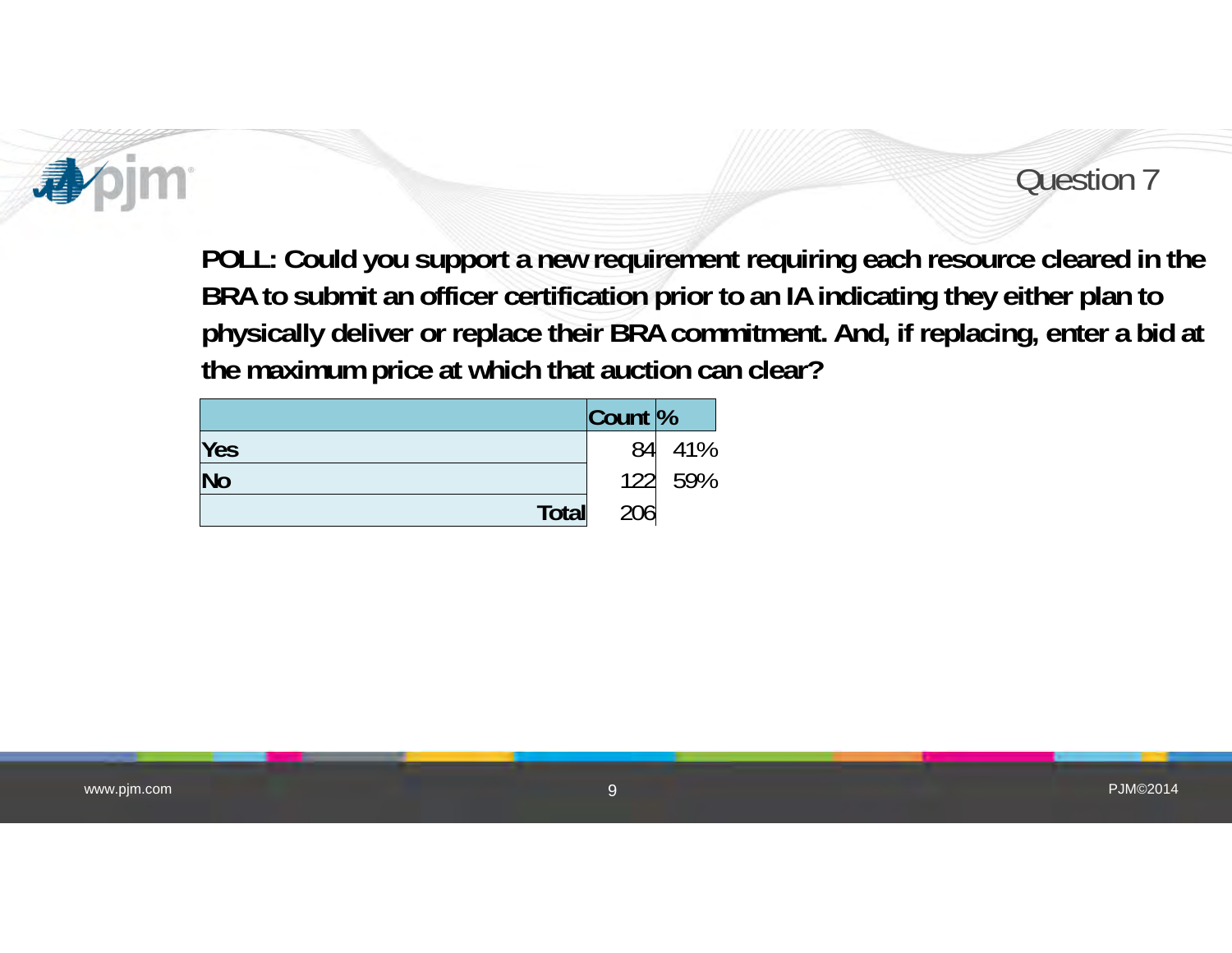

#### Question 7

**POLL: Could you support a new requirement requiring each resource cleared in the BRA to submit an officer certification prior to an IA indicating they either plan to physically deliver or replace their BRA commitment. And, if replacing, enter a bid at the maximum price at which that auction can clear?**

|                        | $\vert$ Count $\vert\%$ |         |
|------------------------|-------------------------|---------|
| Yes                    | 84                      | 41%     |
| $\overline{\text{No}}$ |                         | 122 59% |
| Total                  | 206                     |         |

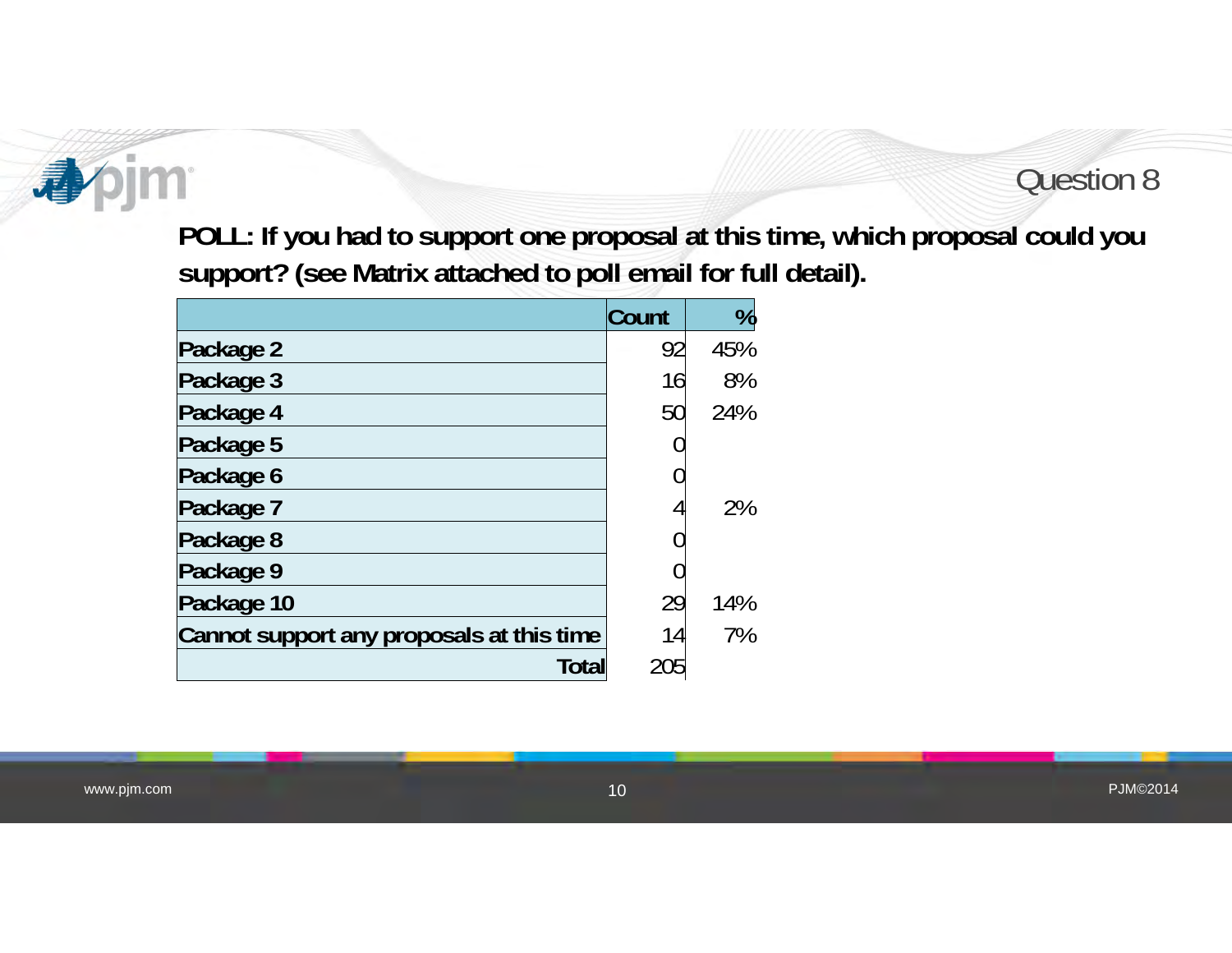# **im**

#### Question 8

**POLL: If you had to support one proposal at this time, which proposal could you support? (see Matrix attached to poll email for full detail).**

|                                           | <b>Count</b> | %   |
|-------------------------------------------|--------------|-----|
| Package 2                                 | 92           | 45% |
| Package 3                                 | 16           | 8%  |
| Package 4                                 | 50           | 24% |
| Package 5                                 |              |     |
| Package 6                                 |              |     |
| Package 7                                 |              | 2%  |
| Package 8                                 |              |     |
| Package 9                                 |              |     |
| Package 10                                | 29           | 14% |
| Cannot support any proposals at this time | 14           | 7%  |
| <b>Total</b>                              | 205          |     |

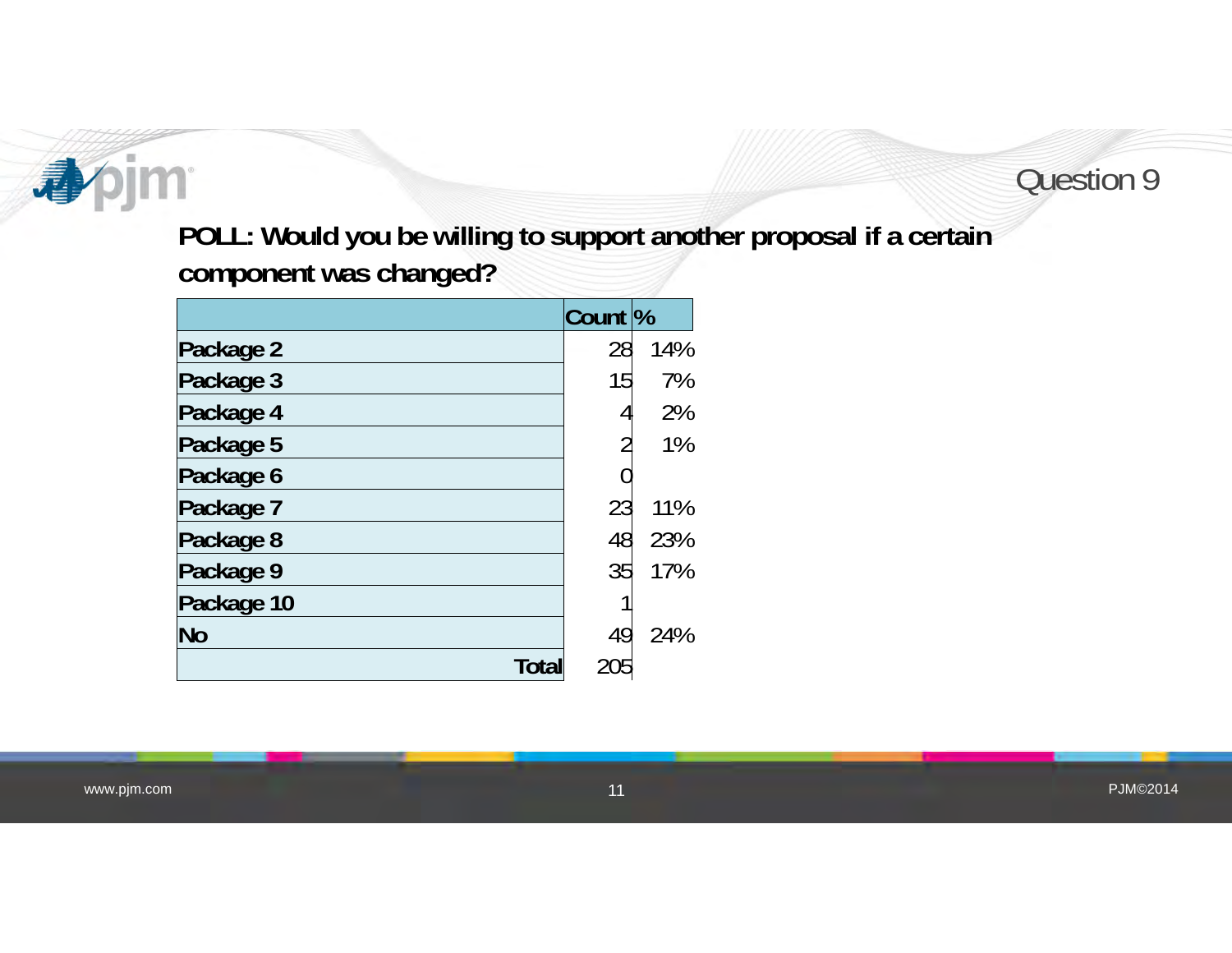#### **bjm** 4

#### Question 9

**POLL: Would you be willing to support another proposal if a certain component was changed?**

|              | Count <sup>%</sup> |     |
|--------------|--------------------|-----|
| Package 2    | 28                 | 14% |
| Package 3    | 15                 | 7%  |
| Package 4    |                    | 2%  |
| Package 5    |                    | 1%  |
| Package 6    |                    |     |
| Package 7    | 23                 | 11% |
| Package 8    | 48                 | 23% |
| Package 9    | 35                 | 17% |
| Package 10   |                    |     |
| <b>No</b>    | 49                 | 24% |
| <b>Total</b> | 205                |     |

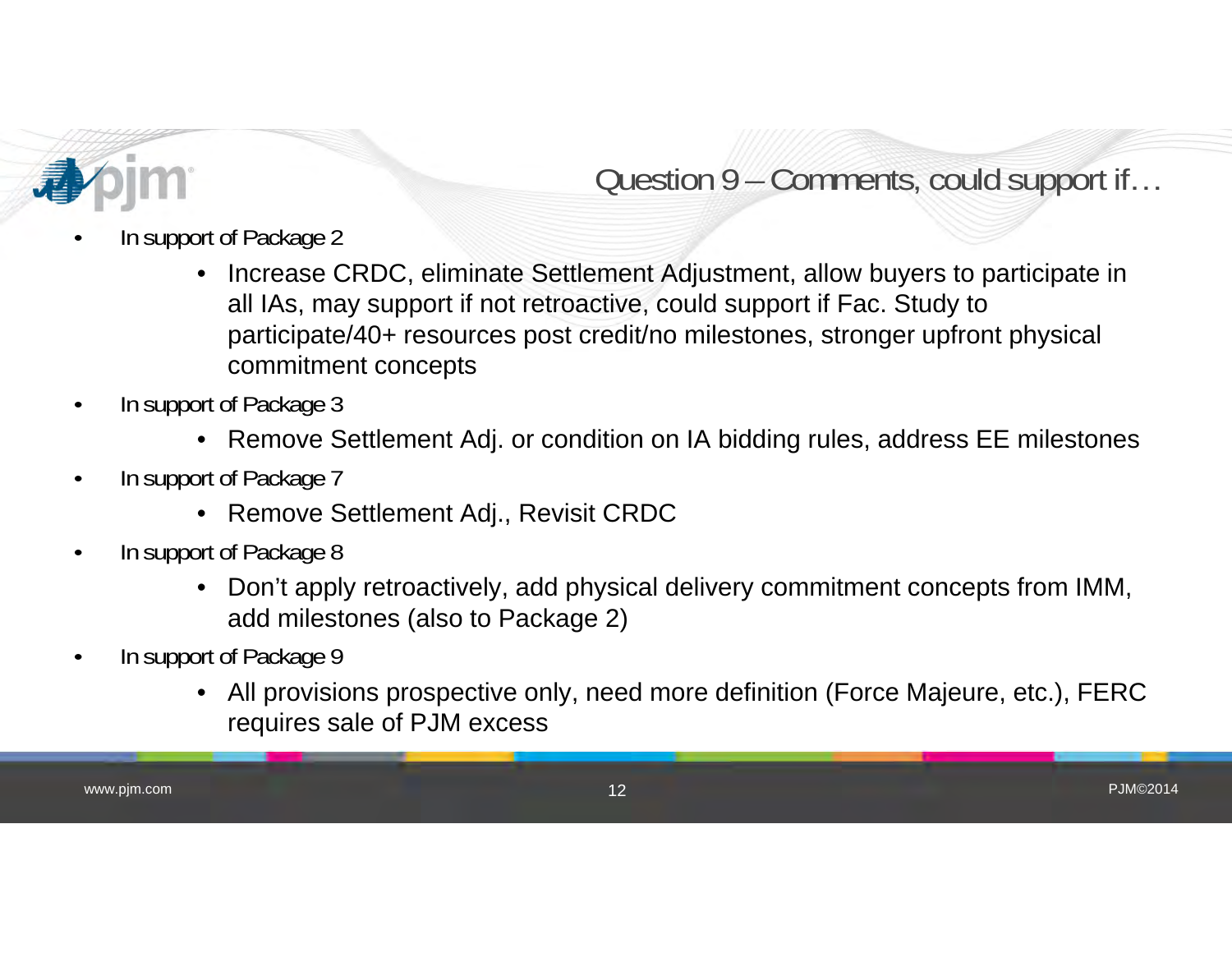

### Question 9 – Comments, could support if…

- • In support of Package 2
	- • Increase CRDC, eliminate Settlement Adjustment, allow buyers to participate in all IAs, may support if not retroactive, could support if Fac. Study to participate/40+ resources post credit/no milestones, stronger upfront physical commitment concepts
- • In support of Package 3
	- Remove Settlement Adj. or condition on IA bidding rules, address EE milestones
- • In support of Package 7
	- Remove Settlement Adj., Revisit CRDC
- • In support of Package 8
	- • Don't apply retroactively, add physical delivery commitment concepts from IMM, add milestones (also to Package 2)
- • In support of Package 9
	- • All provisions prospective only, need more definition (Force Majeure, etc.), FERC requires sale of PJM excess